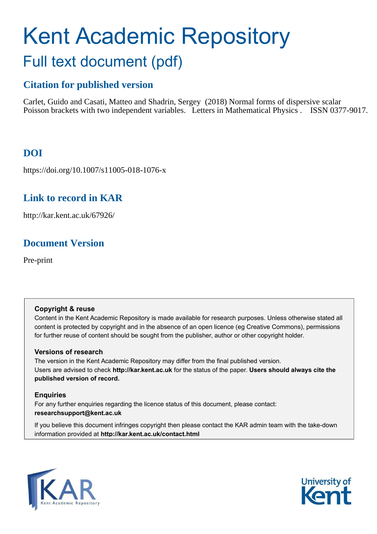# Kent Academic Repository Full text document (pdf)

# **Citation for published version**

Carlet, Guido and Casati, Matteo and Shadrin, Sergey (2018) Normal forms of dispersive scalar Poisson brackets with two independent variables. Letters in Mathematical Physics . ISSN 0377-9017.

# **DOI**

https://doi.org/10.1007/s11005-018-1076-x

# **Link to record in KAR**

http://kar.kent.ac.uk/67926/

# **Document Version**

Pre-print

# **Copyright & reuse**

Content in the Kent Academic Repository is made available for research purposes. Unless otherwise stated all content is protected by copyright and in the absence of an open licence (eg Creative Commons), permissions for further reuse of content should be sought from the publisher, author or other copyright holder.

# **Versions of research**

The version in the Kent Academic Repository may differ from the final published version. Users are advised to check **http://kar.kent.ac.uk** for the status of the paper. **Users should always cite the published version of record.**

# **Enquiries**

For any further enquiries regarding the licence status of this document, please contact: **researchsupport@kent.ac.uk**

If you believe this document infringes copyright then please contact the KAR admin team with the take-down information provided at **http://kar.kent.ac.uk/contact.html**



<span id="page-0-0"></span>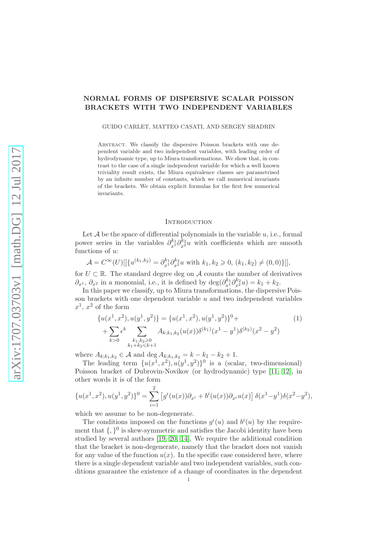## NORMAL FORMS OF DISPERSIVE SCALAR POISSON BRACKETS WITH TWO INDEPENDENT VARIABLES

GUIDO CARLET, MATTEO CASATI, AND SERGEY SHADRIN

Abstract. We classify the dispersive Poisson brackets with one dependent variable and two independent variables, with leading order of hydrodynamic type, up to Miura transformations. We show that, in contrast to the case of a single independent variable for which a well known triviality result exists, the Miura equivalence classes are parametrised by an infinite number of constants, which we call numerical invariants of the brackets. We obtain explicit formulas for the first few numerical invariants.

#### <span id="page-1-2"></span><span id="page-1-1"></span><span id="page-1-0"></span>**INTRODUCTION**

Let  $A$  be the space of differential polynomials in the variable  $u$ , i.e., formal power series in the variables  $\partial_{x^1}^{k_1} \partial_{x^2}^{k_2} u$  with coefficients which are smooth functions of u:

$$
\mathcal{A} = C^{\infty}(U)[[\{u^{(k_1,k_2)} = \partial_{x^1}^{k_1} \partial_{x^2}^{k_2} u \text{ with } k_1, k_2 \geq 0, (k_1, k_2) \neq (0,0)\}]],
$$

<span id="page-1-4"></span>for  $U \subset \mathbb{R}$ . The standard degree deg on A counts the number of derivatives  $\partial_{x^1}$ ,  $\partial_{x^2}$  in a monomial, i.e., it is defined by  $\deg(\partial_{x^1}^{k_1} \partial_{x^2}^{k_2} u) = k_1 + k_2$ .

In this paper we classify, up to Miura transformations, the dispersive Poisson brackets with one dependent variable  $u$  and two independent variables  $x^1, x^2$  of the form

$$
\{u(x^1, x^2), u(y^1, y^2)\} = \{u(x^1, x^2), u(y^1, y^2)\}^0 + \n\sum_{k>0} \epsilon^k \sum_{\substack{k_1, k_2 \ge 0 \\ k_1 + k_2 \le k+1}} A_{k; k_1, k_2} (u(x)) \delta^{(k_1)}(x^1 - y^1) \delta^{(k_2)}(x^2 - y^2)
$$
\n(1)

<span id="page-1-3"></span>where  $A_{k;k_1,k_2} \in \mathcal{A}$  and  $\deg A_{k;k_1,k_2} = k - k_1 - k_2 + 1$ .

The leading term  $\{u(x^1, x^2), u(y^1, y^2)\}$ <sup>0</sup> is a (scalar, two-dimensional) Poisson bracket of Dubrovin-Novikov (or hydrodynamic) type [\[11,](#page-18-0) [12\]](#page-18-1), in other words it is of the form

$$
\{u(x^1, x^2), u(y^1, y^2)\}^0 = \sum_{i=1}^2 \left[g^i(u(x))\partial_{x^i} + b^i(u(x))\partial_{x^i}u(x)\right]\delta(x^1 - y^1)\delta(x^2 - y^2),
$$

which we assume to be non-degenerate.

The conditions imposed on the functions  $g^{i}(u)$  and  $b^{i}(u)$  by the requirement that  $\{, \}^0$  is skew-symmetric and satisfies the Jacobi identity have been studied by several authors [\[19,](#page-18-2) [20,](#page-18-3) [14\]](#page-18-4). We require the additional condition that the bracket is non-degenerate, namely that the bracket does not vanish for any value of the function  $u(x)$ . In the specific case considered here, where there is a single dependent variable and two independent variables, such conditions guarantee the existence of a change of coordinates in the dependent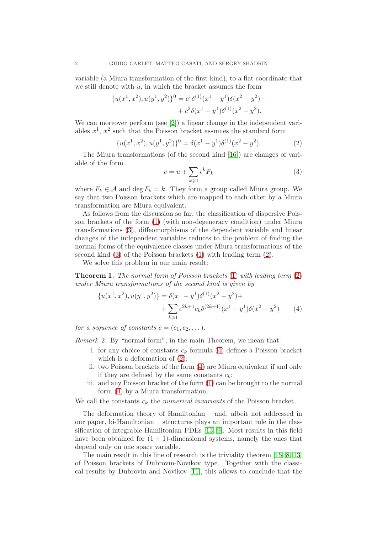variable (a Miura transformation of the first kind), to a flat coordinate that we still denote with  $u$ , in which the bracket assumes the form

$$
{u(x1, x2), u(y1, y2)}0 = c1 \delta(1) (x1 - y1) \delta(x2 - y2) + c2 \delta(x1 - y1) \delta(1) (x2 - y2).
$$

We can moreover perform (see [\[2\]](#page-17-0)) a linear change in the independent variables  $x^1$ ,  $x^2$  such that the Poisson bracket assumes the standard form

$$
\{u(x^1, x^2), u(y^1, y^2)\}^0 = \delta(x^1 - y^1)\delta^{(1)}(x^2 - y^2). \tag{2}
$$

The Miura transformations (of the second kind [\[16\]](#page-18-5)) are changes of variable of the form

$$
v = u + \sum_{k \geqslant 1} \epsilon^k F_k \tag{3}
$$

where  $F_k \in \mathcal{A}$  and  $\deg F_k = k$ . They form a group called Miura group. We say that two Poisson brackets which are mapped to each other by a Miura transformation are Miura equivalent.

As follows from the discussion so far, the classification of dispersive Poisson brackets of the form [\(1\)](#page-0-0) (with non-degeneracy condition) under Miura transformations [\(3\)](#page-1-0), diffeomorphisms of the dependent variable and linear changes of the independent variables reduces to the problem of finding the normal forms of the equivalence classes under Miura transformations of the second kind [\(3\)](#page-1-0) of the Poisson brackets [\(1\)](#page-0-0) with leading term [\(2\)](#page-1-1).

We solve this problem in our main result:

**Theorem 1.** The normal form of Poisson brackets  $(1)$  with leading term  $(2)$ under Miura transformations of the second kind is given by

$$
\{u(x^1, x^2), u(y^1, y^2)\} = \delta(x^1 - y^1)\delta^{(1)}(x^2 - y^2) + \n+ \sum_{k \ge 1} \epsilon^{2k+1} c_k \delta^{(2k+1)}(x^1 - y^1)\delta(x^2 - y^2)
$$
 (4)

for a sequence of constants  $c = (c_1, c_2, \dots).$ 

Remark 2. By "normal form", in the main Theorem, we mean that:

- i. for any choice of constants  $c_k$  formula [\(4\)](#page-1-2) defines a Poisson bracket which is a deformation of  $(2)$ ;
- ii. two Poisson brackets of the form [\(4\)](#page-1-2) are Miura equivalent if and only if they are defined by the same constants  $c_k$ ;
- iii. and any Poisson bracket of the form [\(1\)](#page-0-0) can be brought to the normal form [\(4\)](#page-1-2) by a Miura transformation.

We call the constants  $c_k$  the numerical invariants of the Poisson bracket.

The deformation theory of Hamiltonian – and, albeit not addressed in our paper, bi-Hamiltonian – structures plays an important role in the classification of integrable Hamiltonian PDEs [\[13,](#page-18-6) [9\]](#page-18-7). Most results in this field have been obtained for  $(1 + 1)$ -dimensional systems, namely the ones that depend only on one space variable.

The main result in this line of research is the triviality theorem [\[15,](#page-18-8) [8,](#page-18-9) [13\]](#page-18-6) of Poisson brackets of Dubrovin-Novikov type. Together with the classical results by Dubrovin and Novikov [\[11\]](#page-18-0), this allows to conclude that the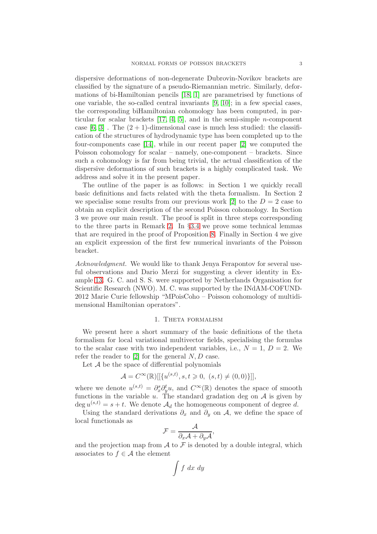dispersive deformations of non-degenerate Dubrovin-Novikov brackets are classified by the signature of a pseudo-Riemannian metric. Similarly, deformations of bi-Hamiltonian pencils [\[18,](#page-18-10) [1\]](#page-17-1) are parametrised by functions of one variable, the so-called central invariants [\[9,](#page-18-7) [10\]](#page-18-11); in a few special cases, the corresponding biHamiltonian cohomology has been computed, in particular for scalar brackets  $[17, 4, 5]$  $[17, 4, 5]$  $[17, 4, 5]$ , and in the semi-simple *n*-component case  $[6, 3]$  $[6, 3]$ . The  $(2 + 1)$ -dimensional case is much less studied: the classification of the structures of hydrodynamic type has been completed up to the four-components case [\[14\]](#page-18-4), while in our recent paper [\[2\]](#page-17-0) we computed the Poisson cohomology for scalar – namely, one-component – brackets. Since such a cohomology is far from being trivial, the actual classification of the dispersive deformations of such brackets is a highly complicated task. We address and solve it in the present paper.

The outline of the paper is as follows: in Section 1 we quickly recall basic definitions and facts related with the theta formalism. In Section 2 we specialise some results from our previous work [\[2\]](#page-17-0) to the  $D = 2$  case to obtain an explicit description of the second Poisson cohomology. In Section 3 we prove our main result. The proof is split in three steps corresponding to the three parts in Remark [2.](#page-1-3) In §[3.4](#page-11-0) we prove some technical lemmas that are required in the proof of Proposition [8.](#page-9-0) Finally in Section 4 we give an explicit expression of the first few numerical invariants of the Poisson bracket.

Acknowledgment. We would like to thank Jenya Ferapontov for several useful observations and Dario Merzi for suggesting a clever identity in Example [13.](#page-16-0) G. C. and S. S. were supported by Netherlands Organisation for Scientific Research (NWO). M. C. was supported by the INdAM-COFUND-2012 Marie Curie fellowship "MPoisCoho – Poisson cohomology of multidimensional Hamiltonian operators".

### 1. Theta formalism

We present here a short summary of the basic definitions of the theta formalism for local variational multivector fields, specialising the formulas to the scalar case with two independent variables, i.e.,  $N = 1, D = 2$ . We refer the reader to  $[2]$  for the general  $N, D$  case.

Let  $A$  be the space of differential polynomials

$$
\mathcal{A} = C^{\infty}(\mathbb{R})[[\{u^{(s,t)}, s, t \geq 0, (s,t) \neq (0,0)\}]],
$$

where we denote  $u^{(s,t)} = \partial_x^s \partial_y^t u$ , and  $C^{\infty}(\mathbb{R})$  denotes the space of smooth functions in the variable u. The standard gradation deg on  $A$  is given by  $\deg u^{(s,t)} = s + t$ . We denote  $\mathcal{A}_d$  the homogeneous component of degree d.

Using the standard derivations  $\partial_x$  and  $\partial_y$  on A, we define the space of local functionals as

$$
\mathcal{F} = \frac{\mathcal{A}}{\partial_x \mathcal{A} + \partial_y \mathcal{A}},
$$

and the projection map from  $A$  to  $F$  is denoted by a double integral, which associates to  $f \in \mathcal{A}$  the element

$$
\int f \ dx \ dy
$$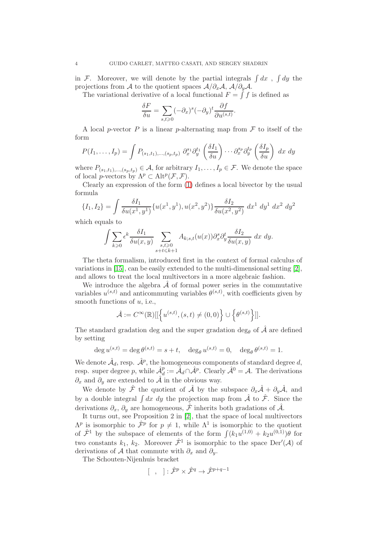in F. Moreover, we will denote by the partial integrals  $\int dx$ ,  $\int dy$  the projections from A to the quotient spaces  $A/\partial_x A$ ,  $A/\partial_y A$ .

The variational derivative of a local functional  $F = \int f$  is defined as

$$
\frac{\delta F}{\delta u} = \sum_{s,t \ge 0} (-\partial_x)^s (-\partial_y)^t \frac{\partial f}{\partial u^{(s,t)}}.
$$

A local p-vector P is a linear p-alternating map from  $\mathcal F$  to itself of the form

$$
P(I_1,\ldots,I_p) = \int P_{(s_1,t_1),\ldots,(s_p,t_p)} \partial_x^{s_1} \partial_y^{t_1} \left(\frac{\delta I_1}{\delta u}\right) \cdots \partial_x^{s_p} \partial_y^{t_p} \left(\frac{\delta I_p}{\delta u}\right) dx dy
$$

where  $P_{(s_1,t_1),...,(s_p,t_p)} \in \mathcal{A}$ , for arbitrary  $I_1,...,I_p \in \mathcal{F}$ . We denote the space of local *p*-vectors by  $\Lambda^p \subset \text{Alt}^p(\mathcal{F}, \mathcal{F}).$ 

Clearly an expression of the form [\(1\)](#page-0-0) defines a local bivector by the usual formula

$$
\{I_1, I_2\} = \int \frac{\delta I_1}{\delta u(x^1, y^1)} \{u(x^1, y^1), u(x^2, y^2)\} \frac{\delta I_2}{\delta u(x^2, y^2)} dx^1 dy^1 dx^2 dy^2
$$

which equals to

$$
\int \sum_{k\geqslant 0} \epsilon^k \frac{\delta I_1}{\delta u(x,y)} \sum_{\substack{s,t\geqslant 0\\ s+t\leqslant k+1}} A_{k;s,t}(u(x)) \partial_x^s \partial_y^t \frac{\delta I_2}{\delta u(x,y)} dx dy.
$$

The theta formalism, introduced first in the context of formal calculus of variations in  $[15]$ , can be easily extended to the multi-dimensional setting  $[2]$ , and allows to treat the local multivectors in a more algebraic fashion.

We introduce the algebra  $\hat{\mathcal{A}}$  of formal power series in the commutative variables  $u^{(s,t)}$  and anticommuting variables  $\theta^{(s,t)}$ , with coefficients given by smooth functions of  $u$ , i.e.,

$$
\hat{\mathcal{A}} := C^{\infty}(\mathbb{R})[[\left\{u^{(s,t)}, (s,t) \neq (0,0)\right\} \cup \left\{\theta^{(s,t)}\right\}]].
$$

The standard gradation deg and the super gradation deg<sub>e</sub> of  $\hat{\mathcal{A}}$  are defined by setting

$$
\deg u^{(s,t)} = \deg \theta^{(s,t)} = s + t, \quad \deg_{\theta} u^{(s,t)} = 0, \quad \deg_{\theta} \theta^{(s,t)} = 1.
$$

<span id="page-4-2"></span>We denote  $\hat{\mathcal{A}}_d$ , resp.  $\hat{\mathcal{A}}^p$ , the homogeneous components of standard degree  $d$ , resp. super degree p, while  $\hat{\mathcal{A}}_d^p := \hat{\mathcal{A}}_d \cap \hat{\mathcal{A}}^p$ . Clearly  $\hat{\mathcal{A}}^0 = \mathcal{A}$ . The derivations  $\partial_x$  and  $\partial_y$  are extended to  $\hat{\mathcal{A}}$  in the obvious way.

We denote by  $\hat{\mathcal{F}}$  the quotient of  $\hat{\mathcal{A}}$  by the subspace  $\partial_x\hat{\mathcal{A}} + \partial_y\hat{\mathcal{A}}$ , and by a double integral  $\int dx dy$  the projection map from  $\hat{\mathcal{A}}$  to  $\hat{\mathcal{F}}$ . Since the derivations  $\partial_x$ ,  $\partial_y$  are homogeneous,  $\hat{\mathcal{F}}$  inherits both gradations of  $\hat{\mathcal{A}}$ .

It turns out, see Proposition 2 in [\[2\]](#page-17-0), that the space of local multivectors  $\Lambda^p$  is isomorphic to  $\hat{\mathcal{F}}^p$  for  $p \neq 1$ , while  $\Lambda^1$  is isomorphic to the quotient of  $\hat{\mathcal{F}}^1$  by the subspace of elements of the form  $\int (k_1u^{(1,0)} + k_2u^{(0,1)})\theta$  for two constants  $k_1, k_2$ . Moreover  $\hat{\mathcal{F}}^1$  is isomorphic to the space  $\text{Der}'(\mathcal{A})$  of derivations of A that commute with  $\partial_x$  and  $\partial_y$ .

The Schouten-Nijenhuis bracket

<span id="page-4-1"></span><span id="page-4-0"></span>
$$
[ , ] : \hat{\mathcal{F}}^p \times \hat{\mathcal{F}}^q \to \hat{\mathcal{F}}^{p+q-1}
$$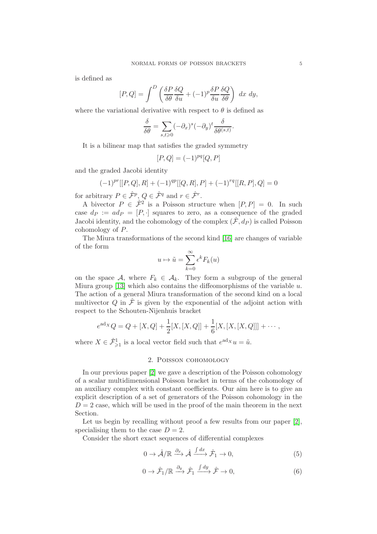is defined as

$$
[P,Q] = \int^{D} \left( \frac{\delta P}{\delta \theta} \frac{\delta Q}{\delta u} + (-1)^{p} \frac{\delta P}{\delta u} \frac{\delta Q}{\delta \theta} \right) dx dy,
$$

where the variational derivative with respect to  $\theta$  is defined as

$$
\frac{\delta}{\delta\theta} = \sum_{s,t \geqslant 0} (-\partial_x)^s (-\partial_y)^t \frac{\delta}{\delta\theta^{(s,t)}}.
$$

It is a bilinear map that satisfies the graded symmetry

$$
[P,Q] = (-1)^{pq} [Q,P]
$$

and the graded Jacobi identity

$$
(-1)^{pr}[[P,Q],R] + (-1)^{qp}[[Q,R],P] + (-1)^{rq}[[R,P],Q] = 0
$$

for arbitrary  $P \in \hat{\mathcal{F}}^p$ ,  $Q \in \hat{\mathcal{F}}^q$  and  $r \in \hat{\mathcal{F}}^r$ .

A bivector  $P \in \hat{\mathcal{F}}^2$  is a Poisson structure when  $[P, P] = 0$ . In such case  $d_P := ad_P = [P, \cdot]$  squares to zero, as a consequence of the graded Jacobi identity, and the cohomology of the complex  $(\hat{\mathcal{F}}, d_P)$  is called Poisson cohomology of P.

The Miura transformations of the second kind [\[16\]](#page-18-5) are changes of variable of the form

<span id="page-5-0"></span>
$$
u \mapsto \tilde{u} = \sum_{k=0}^{\infty} \epsilon^k F_k(u)
$$

on the space A, where  $F_k \in \mathcal{A}_k$ . They form a subgroup of the general Miura group [\[13\]](#page-18-6) which also contains the diffeomorphisms of the variable  $u$ . The action of a general Miura transformation of the second kind on a local multivector Q in  $\hat{\mathcal{F}}$  is given by the exponential of the adjoint action with respect to the Schouten-Nijenhuis bracket

$$
e^{ad_X}Q = Q + [X, Q] + \frac{1}{2}[X, [X, Q]] + \frac{1}{6}[X, [X, [X, Q]]] + \cdots,
$$

where  $X \in \hat{\mathcal{F}}_{\geqslant 1}^1$  is a local vector field such that  $e^{\operatorname{ad}_X}u = \tilde{u}$ .

## <span id="page-5-1"></span>2. Poisson cohomology

In our previous paper [\[2\]](#page-17-0) we gave a description of the Poisson cohomology of a scalar multidimensional Poisson bracket in terms of the cohomology of an auxiliary complex with constant coefficients. Our aim here is to give an explicit description of a set of generators of the Poisson cohomology in the  $D = 2$  case, which will be used in the proof of the main theorem in the next Section.

Let us begin by recalling without proof a few results from our paper [\[2\]](#page-17-0), specialising them to the case  $D = 2$ .

Consider the short exact sequences of differential complexes

$$
0 \to \hat{\mathcal{A}}/\mathbb{R} \xrightarrow{\partial_x} \hat{\mathcal{A}} \xrightarrow{\int dx} \hat{\mathcal{F}}_1 \to 0,
$$
\n(5)

$$
0 \to \hat{\mathcal{F}}_1/\mathbb{R} \xrightarrow{\partial_y} \hat{\mathcal{F}}_1 \xrightarrow{\int dy} \hat{\mathcal{F}} \to 0,
$$
\n(6)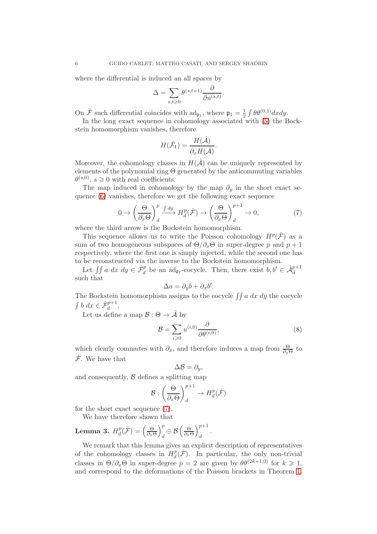where the differential is induced an all spaces by

$$
\Delta = \sum_{s,t \geqslant 0} \theta^{(s,t+1)} \frac{\partial}{\partial u^{(s,t)}}.
$$

<span id="page-6-2"></span>On  $\hat{\mathcal{F}}$  such differential coincides with  $ad_{\mathfrak{p}_1}$ , where  $\mathfrak{p}_1 = \frac{1}{2}$  $rac{1}{2} \int \theta \theta^{(0,1)} dx dy.$ 

In the long exact sequence in cohomology associated with [\(5\)](#page-4-0) the Bockstein homomorphism vanishes, therefore

$$
H(\hat{\mathcal{F}}_1) = \frac{H(\hat{\mathcal{A}})}{\partial_x H(\hat{\mathcal{A}})}.
$$

Moreover, the cohomology classes in  $H(\hat{\mathcal{A}})$  can be uniquely represented by elements of the polynomial ring  $\Theta$  generated by the anticommuting variables  $\theta^{(s,0)}, s \geq 0$  with real coefficients.

<span id="page-6-3"></span>The map induced in cohomology by the map  $\partial_y$  in the short exact sequence [\(6\)](#page-4-1) vanishes, therefore we get the following exact sequence

$$
0 \to \left(\frac{\Theta}{\partial_x \Theta}\right)^p \xrightarrow{f dy} H_d^p(\hat{\mathcal{F}}) \to \left(\frac{\Theta}{\partial_x \Theta}\right)^{p+1}_d \to 0,
$$
 (7)

where the third arrow is the Bockstein homomorphism.

This sequence allows us to write the Poisson cohomology  $H^p(\hat{\mathcal{F}})$  as a sum of two homogeneous subspaces of  $\Theta/\partial_x\Theta$  in super-degree p and  $p+1$ respectively, where the first one is simply injected, while the second one has to be reconstructed via the inverse to the Bockstein homomorphism.

Let  $\iint a \ dx \ dy \in \hat{\mathcal{F}}_d^p$  be an ad<sub>p1</sub>-cocycle. Then, there exist  $b, b' \in \hat{\mathcal{A}}_d^{p+1}$ such that

<span id="page-6-1"></span>
$$
\Delta a = \partial_y b + \partial_x b'.
$$

The Bockstein homomorphism assigns to the cocycle  $\int \int a \, dx \, dy$  the cocycle  $\int b \ dx \in \hat{\mathcal{F}}_d^{p+1}.$ 

Let us define a map  $\mathcal{B} : \Theta \to \hat{\mathcal{A}}$  by

$$
\mathcal{B} = \sum_{i \geq 0} u^{(i,0)} \frac{\partial}{\partial \theta^{(i,0)}},\tag{8}
$$

which clearly commutes with  $\partial_x$ , and therefore induces a map from  $\frac{\Theta}{\partial x\Theta}$  to  $\hat{\mathcal{F}}$ . We have that

<span id="page-6-0"></span>
$$
\Delta \mathcal{B} = \partial_y,
$$

and consequently,  $\beta$  defines a splitting map

$$
\mathcal{B}:\left(\frac{\Theta}{\partial_x \Theta}\right)^{p+1}_d \to H^p_d(\hat{\mathcal{F}})
$$

for the short exact sequence [\(7\)](#page-5-0).

We have therefore shown that

**Lemma 3.** 
$$
H_d^p(\hat{\mathcal{F}}) = \left(\frac{\Theta}{\partial_x \Theta}\right)_d^p \oplus \mathcal{B}\left(\frac{\Theta}{\partial_x \Theta}\right)_d^{p+1}.
$$

We remark that this lemma gives an explicit description of representatives of the cohomology classes in  $H_d^p$  $d^p_d(\hat{\mathcal{F}})$ . In particular, the only non-trivial classes in  $\Theta/\partial_x\Theta$  in super-degree  $p=2$  are given by  $\theta\theta^{(2k+1,0)}$  for  $k\geq 1$ , and correspond to the deformations of the Poisson brackets in Theorem [1.](#page-1-4)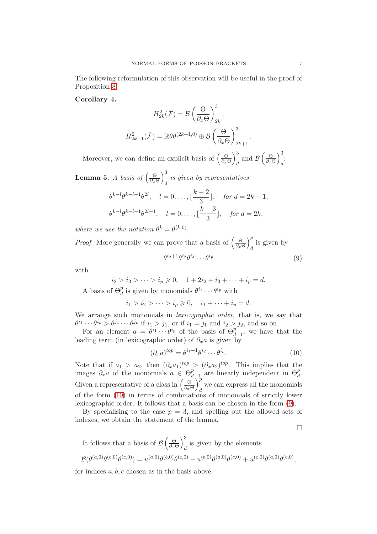<span id="page-7-2"></span>The following reformulation of this observation will be useful in the proof of Proposition [8:](#page-9-0)

#### Corollary 4.

<span id="page-7-1"></span><span id="page-7-0"></span>
$$
H_{2k}^{2}(\hat{\mathcal{F}}) = \mathcal{B}\left(\frac{\Theta}{\partial_{x}\Theta}\right)_{2k}^{3},
$$

$$
H_{2k+1}^{2}(\hat{\mathcal{F}}) = \mathbb{R}\theta\theta^{(2k+1,0)} \oplus \mathcal{B}\left(\frac{\Theta}{\partial_{x}\Theta}\right)_{2k+1}^{3}.
$$

Moreover, we can define an explicit basis of  $\left(\frac{\Theta}{\partial \epsilon_0}\right)$  $\partial_x\Theta$  $\setminus^3$  $\frac{3}{d}$  and  $\mathcal{B}\left(\frac{\Theta}{\partial x^{\theta}}\right)$  $\partial_x\Theta$  $\lambda^3$  $\frac{1}{d}$ 

**Lemma 5.** *A basis of*  $\left(\frac{\Theta}{\partial x}\right)$  $\partial_x \Theta$  $\lambda^3$  $\frac{1}{d}$  is given by representatives

$$
\theta^{k-l}\theta^{k-l-1}\theta^{2l}
$$
,  $l = 0, ..., \lfloor \frac{k-2}{3} \rfloor$ , for  $d = 2k - 1$ ,  
\n $\theta^{k-l}\theta^{k-l-1}\theta^{2l+1}$ ,  $l = 0, ..., \lfloor \frac{k-3}{3} \rfloor$ , for  $d = 2k$ ,

where we use the notation  $\theta^k = \theta^{(k,0)}$ .

*Proof.* More generally we can prove that a basis of 
$$
\left(\frac{\Theta}{\partial_x \Theta}\right)^p_d
$$
 is given by  

$$
\theta^{i_2+1}\theta^{i_2}\theta^{i_3}\cdots\theta^{i_p}
$$
(9)

with

$$
i_2 > i_3 > \cdots > i_p \ge 0, \quad 1 + 2i_2 + i_3 + \cdots + i_p = d.
$$
  
A basis of  $\Theta_d^p$  is given by monomials  $\theta^{i_1} \cdots \theta^{i_p}$  with

$$
i_1 > i_2 > \cdots > i_p \geq 0
$$
,  $i_1 + \cdots + i_p = d$ .

We arrange such monomials in *lexicographic order*, that is, we say that  $\theta^{i_1} \cdots \theta^{i_p} > \theta^{j_1} \cdots \theta^{j_p}$  if  $i_1 > j_1$ , or if  $i_1 = j_1$  and  $i_2 > j_2$ , and so on.

For an element  $a = \theta^{i_1} \cdots \theta^{i_p}$  of the basis of  $\Theta_{d-1}^{p}$ , we have that the leading term (in lexicographic order) of  $\partial_x a$  is given by

$$
(\partial_x a)^{top} = \theta^{i_1 + 1} \theta^{i_2} \cdots \theta^{i_p}.
$$
 (10)

Note that if  $a_1 > a_2$ , then  $(\partial_x a_1)^{top} > (\partial_x a_2)^{top}$ . This implies that the images  $\partial_x a$  of the monomials  $a \in \Theta_d^p$  $_{d-1}^{p}$  are linearly independent in  $\Theta_d^p$ . Given a representative of a class in  $\left(\frac{\Theta}{\partial \mu}\right)$  $\partial_x\Theta$  $\Delta^p$ we can express all the monomials  $\frac{d}{dx}$ of the form [\(10\)](#page-6-0) in terms of combinations of monomials of strictly lower lexicographic order. It follows that a basis can be chosen in the form [\(9\)](#page-6-1).

By specialising to the case  $p = 3$ , and spelling out the allowed sets of indexes, we obtain the statement of the lemma.

$$
\qquad \qquad \Box
$$

It follows that a basis of 
$$
\mathcal{B}\left(\frac{\Theta}{\partial x\Theta}\right)_d^3
$$
 is given by the elements  
\n
$$
\mathcal{B}(\theta^{(a,0)}\theta^{(b,0)}\theta^{(c,0)}) = u^{(a,0)}\theta^{(b,0)}\theta^{(c,0)} - u^{(b,0)}\theta^{(a,0)}\theta^{(c,0)} + u^{(c,0)}\theta^{(a,0)}\theta^{(b,0)},
$$

for indices  $a, b, c$  chosen as in the basis above.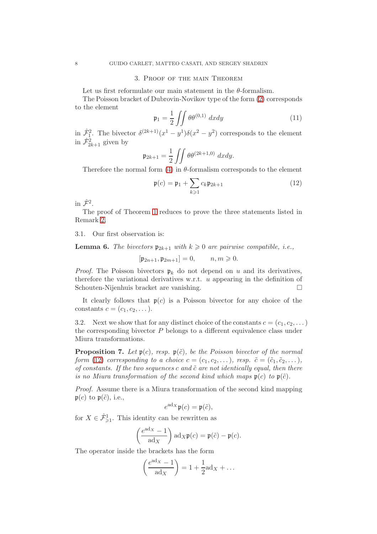#### 3. Proof of the main Theorem

Let us first reformulate our main statement in the  $\theta$ -formalism.

The Poisson bracket of Dubrovin-Novikov type of the form [\(2\)](#page-1-1) corresponds to the element

<span id="page-8-0"></span>
$$
\mathfrak{p}_1 = \frac{1}{2} \iint \theta \theta^{(0,1)} dx dy \tag{11}
$$

in  $\hat{\mathcal{F}}_1^2$ . The bivector  $\delta^{(2k+1)}(x^1-y^1)\delta(x^2-y^2)$  corresponds to the element in  $\hat{\mathcal{F}}_{2k+1}^2$  given by

$$
\mathfrak{p}_{2k+1} = \frac{1}{2} \iint \theta \theta^{(2k+1,0)} dx dy.
$$

Therefore the normal form  $(4)$  in  $\theta$ -formalism corresponds to the element

<span id="page-8-2"></span><span id="page-8-1"></span>
$$
\mathfrak{p}(c) = \mathfrak{p}_1 + \sum_{k \geqslant 1} c_k \mathfrak{p}_{2k+1} \tag{12}
$$

in  $\hat{\mathcal{F}}^2$ .

The proof of Theorem [1](#page-1-4) reduces to prove the three statements listed in Remark [2.](#page-1-3)

3.1. Our first observation is:

**Lemma 6.** The bivectors  $\mathfrak{p}_{2k+1}$  with  $k \geq 0$  are pairwise compatible, i.e.,

<span id="page-8-5"></span> $[\mathfrak{p}_{2n+1}, \mathfrak{p}_{2m+1}] = 0, \qquad n, m \geq 0.$ 

*Proof.* The Poisson bivectors  $\mathfrak{p}_k$  do not depend on u and its derivatives, therefore the variational derivatives w.r.t.  $u$  appearing in the definition of Schouten-Nijenhuis bracket are vanishing.

It clearly follows that  $\mathfrak{p}(c)$  is a Poisson bivector for any choice of the constants  $c = (c_1, c_2, \dots).$ 

3.2. Next we show that for any distinct choice of the constants  $c = (c_1, c_2, \dots)$ the corresponding bivector  $P$  belongs to a different equivalence class under Miura transformations.

**Proposition 7.** Let  $\mathfrak{p}(c)$ , resp.  $\mathfrak{p}(\tilde{c})$ , be the Poisson bivector of the normal form [\(12\)](#page-7-0) corresponding to a choice  $c = (c_1, c_2, \ldots)$ , resp.  $\tilde{c} = (\tilde{c}_1, \tilde{c}_2, \ldots)$ , of constants. If the two sequences c and  $\tilde{c}$  are not identically equal, then there is no Miura transformation of the second kind which maps  $\mathfrak{p}(c)$  to  $\mathfrak{p}(\tilde{c})$ .

Proof. Assume there is a Miura transformation of the second kind mapping  $\mathfrak{p}(c)$  to  $\mathfrak{p}(\tilde{c})$ , i.e.,

<span id="page-8-4"></span><span id="page-8-3"></span>
$$
e^{\mathrm{ad}x}\mathfrak{p}(c)=\mathfrak{p}(\tilde{c}),
$$

for  $X \in \hat{\mathcal{F}}^1_{\geq 1}$ . This identity can be rewritten as

$$
\left(\frac{e^{\mathrm{ad}_X}-1}{\mathrm{ad}_X}\right)\mathrm{ad}_X\mathfrak{p}(c)=\mathfrak{p}(\tilde{c})-\mathfrak{p}(c).
$$

The operator inside the brackets has the form

$$
\left(\frac{e^{\mathrm{ad}_X}-1}{\mathrm{ad}_X}\right)=1+\frac{1}{2}\mathrm{ad}_X+\dots
$$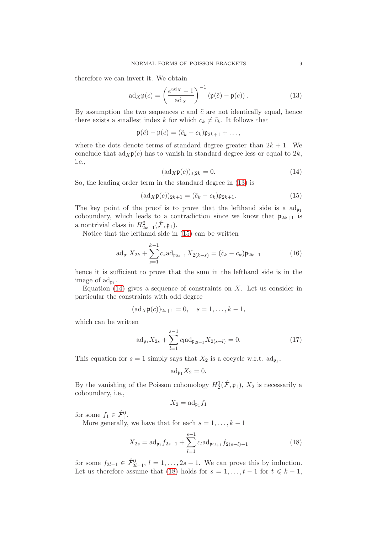therefore we can invert it. We obtain

$$
ad_X \mathfrak{p}(c) = \left(\frac{e^{ad_X} - 1}{ad_X}\right)^{-1} \left(\mathfrak{p}(\tilde{c}) - \mathfrak{p}(c)\right). \tag{13}
$$

By assumption the two sequences c and  $\tilde{c}$  are not identically equal, hence there exists a smallest index k for which  $c_k \neq \tilde{c}_k$ . It follows that

$$
\mathfrak{p}(\tilde{c})-\mathfrak{p}(c)=(\tilde{c}_k-c_k)\mathfrak{p}_{2k+1}+\ldots,
$$

where the dots denote terms of standard degree greater than  $2k + 1$ . We conclude that  $\text{ad}_X\mathfrak{p}(c)$  has to vanish in standard degree less or equal to  $2k$ , i.e.,

<span id="page-9-1"></span>
$$
(\mathrm{ad}_X \mathfrak{p}(c))_{\leq 2k} = 0. \tag{14}
$$

So, the leading order term in the standard degree in [\(13\)](#page-8-0) is

$$
(\mathrm{ad}_X \mathfrak{p}(c))_{2k+1} = (\tilde{c}_k - c_k) \mathfrak{p}_{2k+1}.
$$
 (15)

The key point of the proof is to prove that the lefthand side is a  $\mathrm{ad}_{\mathfrak{p}_1}$ coboundary, which leads to a contradiction since we know that  $\mathfrak{p}_{2k+1}$  is a nontrivial class in  $H_{2k+1}^2(\hat{\mathcal{F}}, \mathfrak{p}_1)$ .

Notice that the lefthand side in [\(15\)](#page-8-1) can be written

$$
\mathrm{ad}_{\mathfrak{p}_1} X_{2k} + \sum_{s=1}^{k-1} c_s \mathrm{ad}_{\mathfrak{p}_{2s+1}} X_{2(k-s)} = (\tilde{c}_k - c_k) \mathfrak{p}_{2k+1} \tag{16}
$$

hence it is sufficient to prove that the sum in the lefthand side is in the image of  $\text{ad}_{\mathfrak{p}_1}$ .

Equation  $(14)$  gives a sequence of constraints on X. Let us consider in particular the constraints with odd degree

$$
(ad_X \mathfrak{p}(c))_{2s+1} = 0, \quad s = 1, \ldots, k-1,
$$

<span id="page-9-0"></span>which can be written

$$
\mathrm{ad}_{\mathfrak{p}_1} X_{2s} + \sum_{l=1}^{s-1} c_l \mathrm{ad}_{\mathfrak{p}_{2l+1}} X_{2(s-l)} = 0. \tag{17}
$$

This equation for  $s = 1$  simply says that  $X_2$  is a cocycle w.r.t.  $ad_{\mathfrak{p}_1}$ ,

$$
\mathrm{ad}_{\mathfrak{p}_1} X_2 = 0.
$$

By the vanishing of the Poisson cohomology  $H_2^1(\hat{\mathcal{F}}, \mathfrak{p}_1)$ ,  $X_2$  is necessarily a coboundary, i.e.,

<span id="page-9-2"></span>
$$
X_2 = \mathrm{ad}_{\mathfrak{p}_1} f_1
$$

for some  $f_1 \in \hat{\mathcal{F}}_1^0$ .

More generally, we have that for each  $s = 1, \ldots, k - 1$ 

$$
X_{2s} = \mathrm{ad}_{\mathfrak{p}_1} f_{2s-1} + \sum_{l=1}^{s-1} c_l \mathrm{ad}_{\mathfrak{p}_{2l+1}} f_{2(s-l)-1}
$$
 (18)

for some  $f_{2l-1} \in \hat{\mathcal{F}}_{2l-1}^0$ ,  $l = 1, \ldots, 2s - 1$ . We can prove this by induction. Let us therefore assume that [\(18\)](#page-8-3) holds for  $s = 1, \ldots, t - 1$  for  $t \leq k - 1$ ,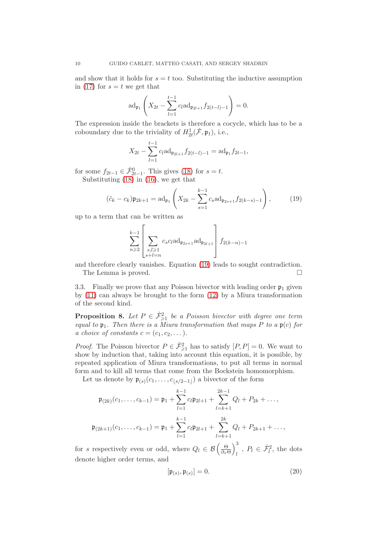and show that it holds for  $s = t$  too. Substituting the inductive assumption in [\(17\)](#page-8-4) for  $s = t$  we get that

$$
\mathrm{ad}_{\mathfrak{p}_1}\left(X_{2t} - \sum_{l=1}^{t-1} c_l \mathrm{ad}_{\mathfrak{p}_{2l+1}} f_{2(t-l)-1}\right) = 0.
$$

The expression inside the brackets is therefore a cocycle, which has to be a coboundary due to the triviality of  $H^1_{2t}(\hat{\mathcal{F}}, \mathfrak{p}_1)$ , i.e.,

$$
X_{2t} - \sum_{l=1}^{t-1} c_l \mathrm{ad}_{\mathfrak{p}_{2l+1}} f_{2(t-l)-1} = \mathrm{ad}_{\mathfrak{p}_1} f_{2t-1},
$$

for some  $f_{2t-1} \in \hat{\mathcal{F}}_{2t-1}^0$ . This gives [\(18\)](#page-8-3) for  $s = t$ . Substituting [\(18\)](#page-8-3) in [\(16\)](#page-8-5), we get that

$$
(\tilde{c}_k - c_k)\mathfrak{p}_{2k+1} = \mathrm{ad}_{\mathfrak{p}_1} \left( X_{2k} - \sum_{s=1}^{k-1} c_s \mathrm{ad}_{\mathfrak{p}_{2s+1}} f_{2(k-s)-1} \right),\tag{19}
$$

up to a term that can be written as

<span id="page-10-0"></span>
$$
\sum_{n\geqslant 2}^{k-1}\left[\sum_{\substack{s,l\geqslant 1\\ s+l=n}}c_sc_l{\rm ad}_{\mathfrak{p}_{2s+1}}{\rm ad}_{\mathfrak{p}_{2l+1}}\right]f_{2(k-n)-1}
$$

and therefore clearly vanishes. Equation [\(19\)](#page-9-1) leads to sought contradiction. The Lemma is proved.

3.3. Finally we prove that any Poisson bivector with leading order  $\mathfrak{p}_1$  given by [\(11\)](#page-7-1) can always be brought to the form [\(12\)](#page-7-0) by a Miura transformation of the second kind.

**Proposition 8.** Let  $P \in \hat{\mathcal{F}}_{\geq 1}^2$  be a Poisson bivector with degree one term equal to  $\mathfrak{p}_1$ . Then there is a Miura transformation that maps P to a  $\mathfrak{p}(c)$  for a choice of constants  $c = (c_1, c_2, \dots).$ 

*Proof.* The Poisson bivector  $P \in \hat{\mathcal{F}}_{\geq 1}^2$  has to satisfy  $[P, P] = 0$ . We want to show by induction that, taking into account this equation, it is possible, by repeated application of Miura transformations, to put all terms in normal form and to kill all terms that come from the Bockstein homomorphism.

Let us denote by  $\mathfrak{p}_{(s)}(c_1,\ldots,c_{\lfloor s/2-1\rfloor})$  a bivector of the form

$$
\mathfrak{p}_{(2k)}(c_1,\ldots,c_{k-1}) = \mathfrak{p}_1 + \sum_{l=1}^{k-1} c_l \mathfrak{p}_{2l+1} + \sum_{l=k+1}^{2k-1} Q_l + P_{2k} + \ldots,
$$
  

$$
\mathfrak{p}_{(2k+1)}(c_1,\ldots,c_{k-1}) = \mathfrak{p}_1 + \sum_{l=1}^{k-1} c_l \mathfrak{p}_{2l+1} + \sum_{l=k+1}^{2k} Q_l + P_{2k+1} + \ldots,
$$

for s respectively even or odd, where  $Q_l \in \mathcal{B}\left(\frac{\Theta}{\partial \epsilon_l}\right)$  $\partial_x\Theta$  $\lambda^3$  $\hat{P}_l \in \hat{\mathcal{F}}_l^2$ , the dots denote higher order terms, and

$$
[\mathfrak{p}_{(s)}, \mathfrak{p}_{(s)}] = 0. \tag{20}
$$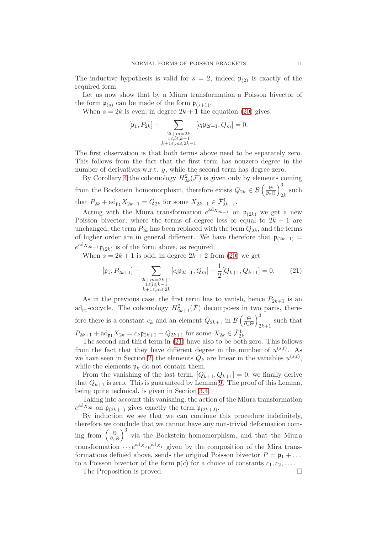<span id="page-11-0"></span>The inductive hypothesis is valid for  $s = 2$ , indeed  $\mathfrak{p}_{(2)}$  is exactly of the required form.

<span id="page-11-1"></span>Let us now show that by a Miura transformation a Poisson bivector of the form  $\mathfrak{p}_{(s)}$  can be made of the form  $\mathfrak{p}_{(s+1)}$ .

When  $s = 2k$  is even, in degree  $2k + 1$  the equation [\(20\)](#page-9-2) gives

<span id="page-11-2"></span>
$$
[\mathfrak{p}_1,P_{2k}]+\sum_{\substack{2l+m=2k\\1\leqslant l\leqslant k-1\\k+1\leqslant m\leqslant 2k-1}}[c_l\mathfrak{p}_{2l+1},Q_m]=0.
$$

The first observation is that both terms above need to be separately zero. This follows from the fact that the first term has nonzero degree in the number of derivatives w.r.t. y, while the second term has degree zero.

By Corollary [4](#page-6-2) the cohomology  $H_{2k}^2(\hat{\mathcal{F}})$  is given only by elements coming from the Bockstein homomorphism, therefore exists  $Q_{2k} \in \mathcal{B}\left(\frac{\Theta}{\partial x_k}\right)$  $\partial_x \Theta$  $\lambda^3$  $_{2k}$  such that  $P_{2k} + \text{ad}_{\mathfrak{p}_1} X_{2k-1} = Q_{2k}$  for some  $X_{2k-1} \in \hat{\mathcal{F}}_{2k-1}^1$ .

Acting with the Miura transformation  $e^{ad_{X_{2k-1}}}$  on  $\mathfrak{p}_{(2k)}$  we get a new Poisson bivector, where the terms of degree less or equal to  $2k - 1$  are unchanged, the term  $P_{2k}$  has been replaced with the term  $Q_{2k}$ , and the terms of higher order are in general different. We have therefore that  $\mathfrak{p}_{(2k+1)} =$  $e^{ad_{X_{2k-1}}}\mathfrak{p}_{(2k)}$  is of the form above, as required.

When  $s = 2k + 1$  is odd, in degree  $2k + 2$  from [\(20\)](#page-9-2) we get

$$
[\mathfrak{p}_1, P_{2k+1}] + \sum_{\substack{2l+m=2k+1\\1\leq l\leq k-1\\k+1\leq m\leq 2k}} [c_l \mathfrak{p}_{2l+1}, Q_m] + \frac{1}{2} [Q_{k+1}, Q_{k+1}] = 0.
$$
 (21)

<span id="page-11-4"></span>As in the previous case, the first term has to vanish, hence  $P_{2k+1}$  is an ad<sub>p1</sub>-cocycle. The cohomology  $H_{2k+1}^2(\hat{\mathcal{F}})$  decomposes in two parts, therefore there is a constant  $c_k$  and an element  $Q_{2k+1}$  in  $\mathcal{B}\left(\frac{\Theta}{\partial x_k}\right)$  $\partial_x\Theta$  $\lambda^3$ such that  $2k+1$  $P_{2k+1} + \text{ad}_{\mathfrak{p}_1} X_{2k} = c_k \mathfrak{p}_{2k+1} + Q_{2k+1}$  for some  $X_{2k} \in \hat{\mathcal{F}}_{2k}^1$ .

The second and third term in [\(21\)](#page-10-0) have also to be both zero. This follows from the fact that they have different degree in the number of  $u^{(s,t)}$ . As we have seen in Section [2,](#page-4-2) the elements  $Q_k$  are linear in the variables  $u^{(s,t)}$ , while the elements  $\mathfrak{p}_k$  do not contain them.

From the vanishing of the last term,  $[Q_{k+1}, Q_{k+1}] = 0$ , we finally derive that  $Q_{k+1}$  is zero. This is guaranteed by Lemma [9.](#page-11-1) The proof of this Lemma, being quite technical, is given in Section [3.4.](#page-11-0)

Taking into account this vanishing, the action of the Miura transformation  $e^{ad_{X_{2k}}}$  on  $\mathfrak{p}_{(2k+1)}$  gives exactly the term  $\mathfrak{p}_{(2k+2)}$ .

By induction we see that we can continue this procedure indefinitely, therefore we conclude that we cannot have any non-trivial deformation coming from  $\left(\frac{\Theta}{\partial \Theta}\right)$  $\partial_x \Theta$  $\int_{0}^{3}$  via the Bockstein homomorphism, and that the Miura transformation  $\cdots e^{ad_{X_2}}e^{ad_{X_1}}$  given by the composition of the Mira transformations defined above, sends the original Poisson bivector  $P = \mathfrak{p}_1 + \dots$ to a Poisson bivector of the form  $\mathfrak{p}(c)$  for a choice of constants  $c_1, c_2, \ldots$ .

<span id="page-11-3"></span>The Proposition is proved.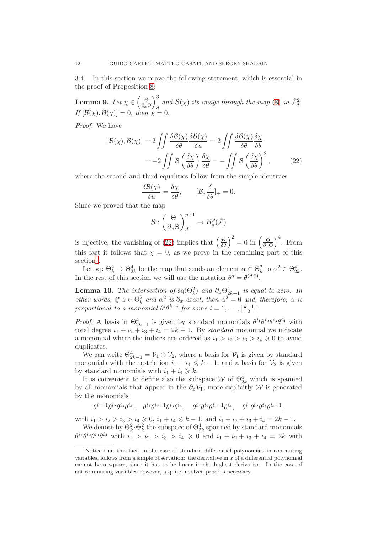3.4. In this section we prove the following statement, which is essential in the proof of Proposition [8:](#page-9-0)

Lemma 9. Let  $\chi \in \left(\frac{\Theta}{\partial \xi}\right)$  $\partial_x \Theta$  $\lambda^3$  $\int_{d}^{d}$  and  $\mathcal{B}(\chi)$  its image through the map [\(8\)](#page-5-1) in  $\hat{\mathcal{F}}_{d}^{2}$ . If  $[\mathcal{B}(\chi),\mathcal{B}(\chi)]=0$ , then  $\chi=0$ .

Proof. We have

$$
[\mathcal{B}(\chi), \mathcal{B}(\chi)] = 2 \iint \frac{\delta \mathcal{B}(\chi)}{\delta \theta} \frac{\delta \mathcal{B}(\chi)}{\delta u} = 2 \iint \frac{\delta \mathcal{B}(\chi)}{\delta \theta} \frac{\delta \chi}{\delta \theta}
$$

$$
= -2 \iint \mathcal{B} \left( \frac{\delta \chi}{\delta \theta} \right) \frac{\delta \chi}{\delta \theta} = - \iint \mathcal{B} \left( \frac{\delta \chi}{\delta \theta} \right)^2, \tag{22}
$$

where the second and third equalities follow from the simple identities

$$
\frac{\delta \mathcal{B}(\chi)}{\delta u} = \frac{\delta \chi}{\delta \theta}, \qquad [\mathcal{B}, \frac{\delta}{\delta \theta}]_+ = 0.
$$

Since we proved that the map

$$
\mathcal{B}:\left(\frac{\Theta}{\partial_x \Theta}\right)^{p+1}_d \to H^p_d(\hat{\mathcal{F}})
$$

is injective, the vanishing of [\(22\)](#page-11-2) implies that  $\left(\frac{\delta \chi}{\delta \theta}\right)^2 = 0$  in  $\left(\frac{\Theta}{\partial x} \right)^2$  $\partial_x\Theta$  $\Big)^4$ . From this fact it follows that  $\chi = 0$ , as we prove in the remaining part of this section<sup>[1](#page-11-3)</sup>.

Let sq:  $\Theta_k^2 \to \Theta_{2k}^4$  be the map that sends an element  $\alpha \in \Theta_k^2$  to  $\alpha^2 \in \Theta_{2k}^4$ . In the rest of this section we will use the notation  $\theta^d = \theta^{(d,0)}$ .

**Lemma 10.** The intersection of  $sq(\Theta_k^2)$  and  $\partial_x \Theta_{2k-1}^4$  is equal to zero. In other words, if  $\alpha \in \Theta_k^2$  and  $\alpha^2$  is  $\partial_x$ -exact, then  $\alpha^2 = 0$  and, therefore,  $\alpha$  is proportional to a monomial  $\theta^i \theta^{k-i}$  for some  $i = 1, \ldots, \lfloor \frac{k-1}{2} \rfloor$  $\frac{-1}{2}$ .

*Proof.* A basis in  $\Theta_{2k-1}^4$  is given by standard monomials  $\theta^{i_1} \theta^{i_2} \theta^{i_3} \theta^{i_4}$  with total degree  $i_1 + i_2 + i_3 + i_4 = 2k - 1$ . By standard monomial we indicate a monomial where the indices are ordered as  $i_1 > i_2 > i_3 > i_4 \geq 0$  to avoid duplicates.

We can write  $\Theta_{2k-1}^4 = \mathcal{V}_1 \oplus \mathcal{V}_2$ , where a basis for  $\mathcal{V}_1$  is given by standard monomials with the restriction  $i_1 + i_4 \leq k - 1$ , and a basis for  $\mathcal{V}_2$  is given by standard monomials with  $i_1 + i_4 \geq k$ .

It is convenient to define also the subspace  $W$  of  $\Theta_{2k}^4$  which is spanned by all monomials that appear in the  $\partial_x \mathcal{V}_1$ ; more explicitly W is generated by the monomials

$$
\theta^{i_1+1}\theta^{i_2}\theta^{i_3}\theta^{i_4},\quad \theta^{i_1}\theta^{i_2+1}\theta^{i_3}\theta^{i_4},\quad \theta^{i_1}\theta^{i_2}\theta^{i_3+1}\theta^{i_4},\quad \theta^{i_1}\theta^{i_2}\theta^{i_3}\theta^{i_4+1},
$$

with  $i_1 > i_2 > i_3 > i_4 \geqslant 0$ ,  $i_1 + i_4 \leqslant k - 1$ , and  $i_1 + i_2 + i_3 + i_4 = 2k - 1$ .

We denote by  $\Theta_k^2 \cdot \Theta_k^2$  the subspace of  $\Theta_{2k}^4$  spanned by standard monomials  $\theta^{i_1} \theta^{i_2} \theta^{i_3} \theta^{i_4}$  with  $i_1 > i_2 > i_3 > i_4 \geqslant 0$  and  $i_1 + i_2 + i_3 + i_4 = 2k$  with

<sup>1</sup>Notice that this fact, in the case of standard differential polynomials in commuting variables, follows from a simple observation: the derivative in  $x$  of a differential polynomial cannot be a square, since it has to be linear in the highest derivative. In the case of anticommuting variables however, a quite involved proof is necessary.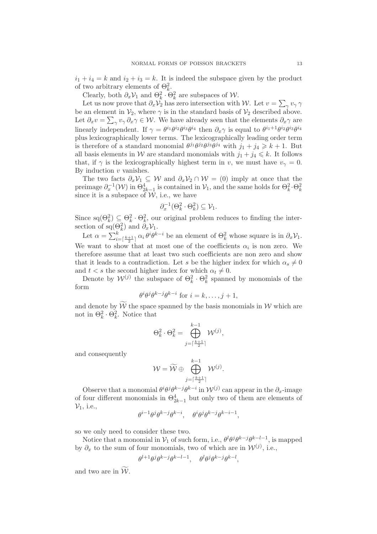$i_1 + i_4 = k$  and  $i_2 + i_3 = k$ . It is indeed the subspace given by the product of two arbitrary elements of  $\Theta_k^2$ .

Clearly, both  $\partial_x \mathcal{V}_1$  and  $\Theta_k^2 \cdot \Theta_k^2$  are subspaces of W.

Let us now prove that  $\partial_x \mathcal{V}_2$  has zero intersection with W. Let  $v = \sum_{\gamma} v_{\gamma} \gamma$ be an element in  $\mathcal{V}_2$ , where  $\gamma$  is in the standard basis of  $\mathcal{V}_2$  described above. Let  $\partial_x v = \sum_{\gamma} v_{\gamma} \partial_x \gamma \in \mathcal{W}$ . We have already seen that the elements  $\partial_x \gamma$  are linearly independent. If  $\gamma = \theta^{i_1} \theta^{i_2} \theta^{i_3} \theta^{i_4}$  then  $\partial_x \gamma$  is equal to  $\theta^{i_1+1} \theta^{i_2} \theta^{i_3} \theta^{i_4}$ plus lexicographically lower terms. The lexicographically leading order term is therefore of a standard monomial  $\theta^{j_1}\theta^{j_2}\theta^{j_3}\theta^{j_4}$  with  $j_1 + j_4 \geq k + 1$ . But all basis elements in W are standard monomials with  $j_1 + j_4 \leq k$ . It follows that, if  $\gamma$  is the lexicographically highest term in v, we must have  $v_{\gamma} = 0$ . By induction  $v$  vanishes.

The two facts  $\partial_x \mathcal{V}_1 \subseteq \mathcal{W}$  and  $\partial_x \mathcal{V}_2 \cap \mathcal{W} = (0)$  imply at once that the preimage  $\partial_x^{-1}(\mathcal{W})$  in  $\Theta_{2k-1}^4$  is contained in  $\mathcal{V}_1$ , and the same holds for  $\Theta_k^2 \cdot \Theta_k^2$ since it is a subspace of  $\mathcal{W}$ , i.e., we have

$$
\partial_x^{-1}(\Theta_k^2 \cdot \Theta_k^2) \subseteq \mathcal{V}_1.
$$

Since  $sq(\Theta_k^2) \subseteq \Theta_k^2 \cdot \Theta_k^2$ , our original problem reduces to finding the intersection of  $sq(\Theta_k^2)$  and  $\partial_x \mathcal{V}_1$ .

<span id="page-13-1"></span>Let  $\alpha = \sum_{i=\lceil \frac{k+1}{2} \rceil}^k \alpha_i \theta^i \theta^{k-i}$  be an element of  $\Theta_k^2$  whose square is in  $\partial_x \mathcal{V}_1$ . We want to show that at most one of the coefficients  $\alpha_i$  is non zero. We therefore assume that at least two such coefficients are non zero and show that it leads to a contradiction. Let s be the higher index for which  $\alpha_s \neq 0$ and  $t < s$  the second higher index for which  $\alpha_t \neq 0$ .

Denote by  $\mathcal{W}^{(j)}$  the subspace of  $\Theta_k^2 \cdot \Theta_k^2$  spanned by monomials of the form

$$
\theta^i \theta^j \theta^{k-j} \theta^{k-i} \text{ for } i = k, \dots, j+1,
$$

and denote by  $\widetilde{\mathcal{W}}$  the space spanned by the basis monomials in W which are not in  $\Theta_k^2 \cdot \Theta_k^2$ . Notice that

$$
\Theta_k^2 \cdot \Theta_k^2 = \bigoplus_{j=\lceil \frac{k+1}{2} \rceil}^{k-1} \mathcal{W}^{(j)},
$$

and consequently

$$
\mathcal{W} = \widetilde{\mathcal{W}} \oplus \bigoplus_{j=\lceil \frac{k+1}{2} \rceil}^{k-1} \mathcal{W}^{(j)}.
$$

Observe that a monomial  $\theta^i \theta^j \theta^{k-j} \theta^{k-i}$  in  $\mathcal{W}^{(j)}$  can appear in the  $\partial_x$ -image of four different monomials in  $\Theta_{2k-1}^4$  but only two of them are elements of  $\mathcal{V}_1$ , i.e.,

$$
\theta^{i-1}\theta^j\theta^{k-j}\theta^{k-i}, \quad \theta^i\theta^j\theta^{k-j}\theta^{k-i-1},
$$

so we only need to consider these two.

Notice that a monomial in  $V_1$  of such form, i.e.,  $\theta^l \theta^j \theta^{k-j} \theta^{k-l-1}$ , is mapped by  $\partial_x$  to the sum of four monomials, two of which are in  $\mathcal{W}^{(j)}$ , i.e.,

$$
\theta^{l+1}\theta^j\theta^{k-j}\theta^{k-l-1}, \quad \theta^l\theta^j\theta^{k-j}\theta^{k-l},
$$

<span id="page-13-0"></span>and two are in  $\widetilde{W}$ .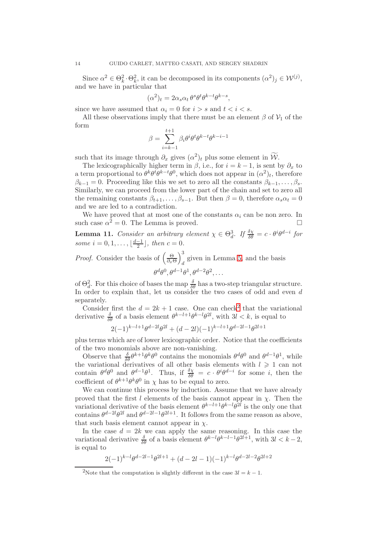Since  $\alpha^2 \in \Theta_k^2 \cdot \Theta_k^2$ , it can be decomposed in its components  $(\alpha^2)_j \in \mathcal{W}^{(j)}$ , and we have in particular that

$$
(\alpha^2)_t = 2\alpha_s \alpha_t \,\theta^s \theta^t \theta^{k-t} \theta^{k-s},
$$

since we have assumed that  $\alpha_i = 0$  for  $i > s$  and  $t < i < s$ .

All these observations imply that there must be an element  $\beta$  of  $\mathcal{V}_1$  of the form

$$
\beta = \sum_{i=k-1}^{t+1} \beta_i \theta^i \theta^k \theta^{k-t} \theta^{k-i-1}
$$

such that its image through  $\partial_x$  gives  $(\alpha^2)_t$  plus some element in  $\mathcal{W}$ .

The lexicographically higher term in  $\beta$ , i.e., for  $i = k - 1$ , is sent by  $\partial_x$  to a term proportional to  $\theta^k \theta^t \theta^{k-t} \theta^0$ , which does not appear in  $(\alpha^2)_t$ , therefore  $\beta_{k-1} = 0$ . Proceeding like this we set to zero all the constants  $\beta_{k-1}, \ldots, \beta_s$ . Similarly, we can proceed from the lower part of the chain and set to zero all the remaining constants  $\beta_{t+1}, \ldots, \beta_{s-1}$ . But then  $\beta = 0$ , therefore  $\alpha_s \alpha_t = 0$ and we are led to a contradiction.

We have proved that at most one of the constants  $\alpha_i$  can be non zero. In such case  $\alpha^2 = 0$ . The Lemma is proved.

**Lemma 11.** Consider an arbitrary element  $\chi \in \Theta_d^3$ . If  $\frac{\delta \chi}{\delta \theta} = c \cdot \theta^i \theta^{d-i}$  for some  $i = 0, 1, ..., \lfloor \frac{d-1}{2} \rfloor$  $\frac{-1}{2}$ , then  $c = 0$ .

<span id="page-14-2"></span>*Proof.* Consider the basis of  $\left(\frac{\Theta}{\partial \epsilon_0}\right)$  $\partial_x \Theta$  $\lambda^3$ given in Lemma [5,](#page-6-3) and the basis  $d$  $\theta^d\theta^0, \theta^{d-1}\theta^1, \theta^{d-2}\theta^2, \ldots$ 

of  $\Theta_d^2$ . For this choice of bases the map  $\frac{\delta}{\delta \theta}$  has a two-step triangular structure. In order to explain that, let us consider the two cases of odd and even d separately.

Consider first the  $d = 2k + 1$  $d = 2k + 1$  $d = 2k + 1$  case. One can check<sup>2</sup> that the variational derivative  $\frac{\delta}{\delta \theta}$  of a basis element  $\theta^{k-l+1}\theta^{k-l}\theta^{2l}$ , with  $3l < k$ , is equal to

<span id="page-14-1"></span><span id="page-14-0"></span>
$$
2(-1)^{k-l+1}\theta^{d-2l}\theta^{2l} + (d-2l)(-1)^{k-l+1}\theta^{d-2l-1}\theta^{2l+1}
$$

plus terms which are of lower lexicographic order. Notice that the coefficients of the two monomials above are non-vanishing.

Observe that  $\frac{\delta}{\delta \theta} \theta^{k+1} \theta^k \theta^0$  contains the monomials  $\theta^d \theta^0$  and  $\theta^{d-1} \theta^1$ , while the variational derivatives of all other basis elements with  $l \geq 1$  can not contain  $\theta^d \theta^0$  and  $\theta^{d-1} \theta^1$ . Thus, if  $\frac{\delta \chi}{\delta \theta} = c \cdot \theta^i \theta^{d-i}$  for some *i*, then the coefficient of  $\theta^{k+1}\theta^k\theta^0$  in  $\chi$  has to be equal to zero.

We can continue this process by induction. Assume that we have already proved that the first l elements of the basis cannot appear in  $\chi$ . Then the variational derivative of the basis element  $\theta^{k-l+1}\theta^{k-l}\theta^{2l}$  is the only one that contains  $\theta^{d-2l}\theta^{2l}$  and  $\theta^{d-2l-1}\theta^{2l+1}$ . It follows from the same reason as above, that such basis element cannot appear in  $\chi$ .

In the case  $d = 2k$  we can apply the same reasoning. In this case the variational derivative  $\frac{\delta}{\delta \theta}$  of a basis element  $\theta^{k-l} \theta^{k-l-1} \theta^{2l+1}$ , with  $3l < k-2$ , is equal to

$$
2(-1)^{k-l}\theta^{d-2l-1}\theta^{2l+1} + (d-2l-1)(-1)^{k-l}\theta^{d-2l-2}\theta^{2l+2}
$$

<sup>&</sup>lt;sup>2</sup>Note that the computation is slightly different in the case  $3l = k - 1$ .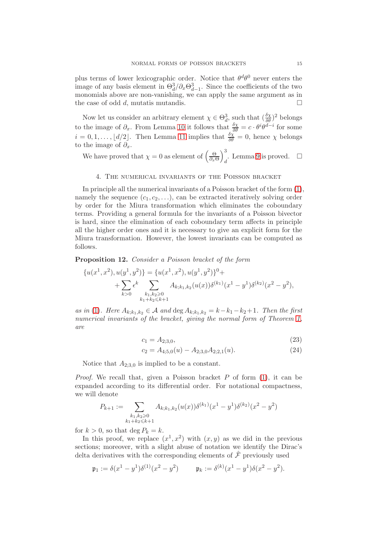plus terms of lower lexicographic order. Notice that  $\theta^d\theta^0$  never enters the image of any basis element in  $\Theta_d^3/\partial_x \Theta_{d-1}^3$ . Since the coefficients of the two monomials above are non-vanishing, we can apply the same argument as in the case of odd d, mutatis mutandis.  $\square$ 

Now let us consider an arbitrary element  $\chi \in \Theta_d^3$ , such that  $(\frac{\delta \chi}{\delta \theta})^2$  belongs to the image of  $\partial_x$ . From Lemma [10](#page-11-4) it follows that  $\frac{\delta \chi}{\delta \theta} = c \cdot \theta^i \theta^{d-i}$  for some  $i = 0, 1, \ldots, \lfloor d/2 \rfloor$ . Then Lemma [11](#page-13-1) implies that  $\frac{\delta \chi}{\delta \theta} = 0$ , hence  $\chi$  belongs to the image of  $\partial_x$ .

We have proved that  $\chi = 0$  as element of  $\left(\frac{\Theta}{\partial \epsilon_0}\right)$  $\partial_x \Theta$  $\lambda^3$ . Lemma [9](#page-11-1) is proved.  $\square$ 

## <span id="page-15-0"></span>4. The numerical invariants of the Poisson bracket

In principle all the numerical invariants of a Poisson bracket of the form [\(1\)](#page-0-0), namely the sequence  $(c_1, c_2, \ldots)$ , can be extracted iteratively solving order by order for the Miura transformation which eliminates the coboundary terms. Providing a general formula for the invariants of a Poisson bivector is hard, since the elimination of each coboundary term affects in principle all the higher order ones and it is necessary to give an explicit form for the Miura transformation. However, the lowest invariants can be computed as follows.

Proposition 12. Consider a Poisson bracket of the form

$$
\{u(x^1, x^2), u(y^1, y^2)\} = \{u(x^1, x^2), u(y^1, y^2)\}^0 +
$$
  
+ 
$$
\sum_{k>0} \epsilon^k \sum_{\substack{k_1, k_2 \ge 0 \\ k_1 + k_2 \le k+1}} A_{k; k_1, k_2} (u(x)) \delta^{(k_1)}(x^1 - y^1) \delta^{(k_2)}(x^2 - y^2),
$$

as in [\(1\)](#page-0-0). Here  $A_{k;k_1,k_2} \in \mathcal{A}$  and  $\deg A_{k;k_1,k_2} = k-k_1-k_2+1$ . Then the first numerical invariants of the bracket, giving the normal form of Theorem [1,](#page-1-4) are

$$
c_1 = A_{2,3,0},\tag{23}
$$

<span id="page-15-1"></span>
$$
c_2 = A_{4,5,0}(u) - A_{2,3,0}A_{2,2,1}(u). \tag{24}
$$

Notice that  $A_{2,3,0}$  is implied to be a constant.

*Proof.* We recall that, given a Poisson bracket  $P$  of form  $(1)$ , it can be expanded according to its differential order. For notational compactness, we will denote

$$
P_{k+1} := \sum_{\substack{k_1, k_2 \ge 0 \\ k_1 + k_2 \le k+1}} A_{k; k_1, k_2} (u(x)) \delta^{(k_1)} (x^1 - y^1) \delta^{(k_2)} (x^2 - y^2)
$$

for  $k > 0$ , so that deg  $P_k = k$ .

In this proof, we replace  $(x^1, x^2)$  with  $(x, y)$  as we did in the previous sections; moreover, with a slight abuse of notation we identify the Dirac's delta derivatives with the corresponding elements of  $\hat{\mathcal{F}}$  previously used

$$
\mathfrak{p}_1 := \delta(x^1 - y^1)\delta^{(1)}(x^2 - y^2)
$$
\n $\mathfrak{p}_k := \delta^{(k)}(x^1 - y^1)\delta(x^2 - y^2).$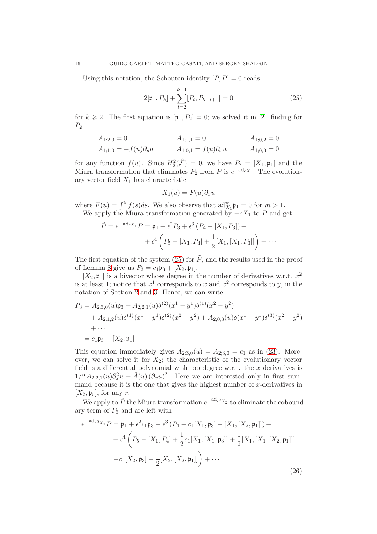Using this notation, the Schouten identity  $[P, P] = 0$  reads

$$
2[\mathfrak{p}_1, P_k] + \sum_{l=2}^{k-1} [P_l, P_{k-l+1}] = 0
$$
\n(25)

for  $k \ge 2$ . The first equation is  $[\mathfrak{p}_1, P_2] = 0$ ; we solved it in [\[2\]](#page-17-0), finding for  $P_2$ 

$$
A_{1;1,0} = 0 \t A_{1;1,1} = 0 \t A_{1;0,2} = 0
$$
  
\n
$$
A_{1;1,0} = -f(u)\partial_y u \t A_{1;0,1} = f(u)\partial_x u \t A_{1;0,0} = 0
$$

for any function  $f(u)$ . Since  $H_2^2(\hat{\mathcal{F}}) = 0$ , we have  $P_2 = [X_1, \mathfrak{p}_1]$  and the Miura transformation that eliminates  $P_2$  from P is  $e^{-ad_{\epsilon}x_1}$ . The evolutionary vector field  $X_1$  has characteristic

<span id="page-16-1"></span>
$$
X_1(u) = F(u)\partial_x u
$$

where  $F(u) = \int^u f(s)ds$ . We also observe that  $\text{ad}_{X_1}^m \mathfrak{p}_1 = 0$  for  $m > 1$ . We apply the Miura transformation generated by  $-\epsilon X_1$  to P and get

$$
\tilde{P} = e^{-ad_{\epsilon X_1}} P = \mathfrak{p}_1 + \epsilon^2 P_3 + \epsilon^3 (P_4 - [X_1, P_3]) +
$$

$$
+ \epsilon^4 \left( P_5 - [X_1, P_4] + \frac{1}{2} [X_1, [X_1, P_3]] \right) + \cdots
$$

The first equation of the system [\(25\)](#page-15-0) for  $\tilde{P}$ , and the results used in the proof of Lemma [8](#page-9-0) give us  $P_3 = c_1 \mathfrak{p}_3 + [X_2, \mathfrak{p}_1].$ 

 $[X_2, \mathfrak{p}_1]$  is a bivector whose degree in the number of derivatives w.r.t.  $x^2$ is at least 1; notice that  $x^1$  corresponds to x and  $x^2$  corresponds to y, in the notation of Section [2](#page-4-2) and [3.](#page-7-2) Hence, we can write

<span id="page-16-0"></span>
$$
P_3 = A_{2,3,0}(u)\mathfrak{p}_3 + A_{2,2,1}(u)\delta^{(2)}(x^1 - y^1)\delta^{(1)}(x^2 - y^2)
$$
  
+  $A_{2,1,2}(u)\delta^{(1)}(x^1 - y^1)\delta^{(2)}(x^2 - y^2) + A_{2,0,3}(u)\delta(x^1 - y^1)\delta^{(3)}(x^2 - y^2)$   
+ ...  
=  $c_1\mathfrak{p}_3 + [X_2, \mathfrak{p}_1]$ 

This equation immediately gives  $A_{2,3,0}(u) = A_{2,3,0} = c_1$  as in [\(23\)](#page-14-0). Moreover, we can solve it for  $X_2$ ; the characteristic of the evolutionary vector field is a differential polynomial with top degree w.r.t. the  $x$  derivatives is  $1/2 A_{2,2,1}(u)\partial_x^2 u + \tilde{A}(u)(\partial_x u)^2$ . Here we are interested only in first summand because it is the one that gives the highest number of  $x$ -derivatives in  $[X_2, \mathfrak{p}_r]$ , for any r.

We apply to  $\tilde{P}$  the Miura transformation  $e^{-ad_{\epsilon^2}x_2}$  to eliminate the coboundary term of  $P_3$  and are left with

$$
e^{-ad_{\epsilon}2_{X_2}}\tilde{P} = \mathfrak{p}_1 + \epsilon^2 c_1 \mathfrak{p}_3 + \epsilon^3 (P_4 - c_1[X_1, \mathfrak{p}_3] - [X_1, [X_2, \mathfrak{p}_1]]) +
$$
  
+ 
$$
\epsilon^4 \left(P_5 - [X_1, P_4] + \frac{1}{2}c_1[X_1, [X_1, \mathfrak{p}_3]] + \frac{1}{2}[X_1, [X_1, [X_2, \mathfrak{p}_1]]] \right)
$$
  
- 
$$
-c_1[X_2, \mathfrak{p}_3] - \frac{1}{2}[X_2, [X_2, \mathfrak{p}_1]] + \cdots
$$
 (26)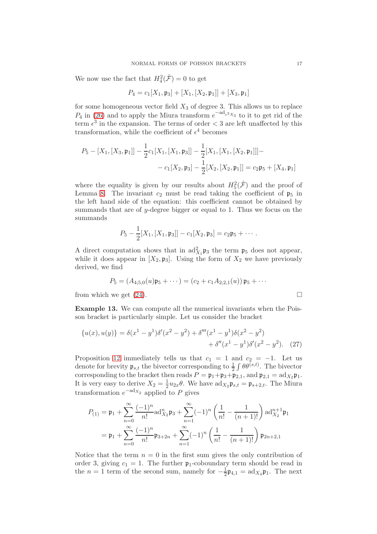We now use the fact that  $H_4^2(\hat{\mathcal{F}}) = 0$  to get

$$
P_4 = c_1[X_1, \mathfrak{p}_3] + [X_1, [X_2, \mathfrak{p}_1]] + [X_3, \mathfrak{p}_1]
$$

for some homogeneous vector field  $X_3$  of degree 3. This allows us to replace  $P_4$  in [\(26\)](#page-15-1) and to apply the Miura transform  $e^{-ad_{\epsilon^3}x_3}$  to it to get rid of the term  $\epsilon^3$  in the expansion. The terms of order  $\lt 3$  are left unaffected by this transformation, while the coefficient of  $\epsilon^4$  becomes

$$
P_5 - [X_1, [X_3, \mathfrak{p}_1]] - \frac{1}{2} c_1 [X_1, [X_1, \mathfrak{p}_3]] - \frac{1}{2} [X_1, [X_1, [X_2, \mathfrak{p}_1]]] -
$$

$$
- c_1 [X_2, \mathfrak{p}_3] - \frac{1}{2} [X_2, [X_2, \mathfrak{p}_1]] = c_2 \mathfrak{p}_5 + [X_4, \mathfrak{p}_1]
$$

where the equality is given by our results about  $H_5^2(\hat{\mathcal{F}})$  and the proof of Lemma [8.](#page-9-0) The invariant  $c_2$  must be read taking the coefficient of  $\mathfrak{p}_5$  in the left hand side of the equation: this coefficient cannot be obtained by summands that are of y-degree bigger or equal to 1. Thus we focus on the summands

$$
P_5-\frac{1}{2}[X_1,[X_1,\mathfrak{p}_3]]-c_1[X_2,\mathfrak{p}_3]=c_2\mathfrak{p}_5+\cdots.
$$

A direct computation shows that in  $\text{ad}_{X_1}^2 \mathfrak{p}_3$  the term  $\mathfrak{p}_5$  does not appear, while it does appear in  $[X_2, \mathfrak{p}_3]$ . Using the form of  $X_2$  we have previously derived, we find

$$
P_5 = (A_{4;5,0}(u)\mathfrak{p}_5 + \cdots) = (c_2 + c_1 A_{2;2,1}(u))\mathfrak{p}_5 + \cdots
$$
from which we get (24).

Example 13. We can compute all the numerical invariants when the Poisson bracket is particularly simple. Let us consider the bracket

$$
\{u(x), u(y)\} = \delta(x^1 - y^1)\delta'(x^2 - y^2) + \delta'''(x^1 - y^1)\delta(x^2 - y^2) + \delta''(x^1 - y^1)\delta'(x^2 - y^2). \tag{27}
$$

Proposition [12](#page-14-2) immediately tells us that  $c_1 = 1$  and  $c_2 = -1$ . Let us denote for brevity  $\mathfrak{p}_{s,t}$  the bivector corresponding to  $\frac{1}{2} \int \theta \theta^{(s,t)}$ . The bivector corresponding to the bracket then reads  $P = \mathfrak{p}_1 + \mathfrak{p}_3 + \mathfrak{p}_{2,1}$ , and  $\mathfrak{p}_{2,1} = \text{ad}_{X_2} \mathfrak{p}_1$ . It is very easy to derive  $X_2 = \frac{1}{2}$  $\frac{1}{2}u_{2x}\theta$ . We have  $\mathrm{ad}_{X_2}\mathfrak{p}_{s,t} = \mathfrak{p}_{s+2,t}$ . The Miura transformation  $e^{-ad_{X_2}}$  applied to P gives

$$
P_{(1)} = \mathfrak{p}_1 + \sum_{n=0}^{\infty} \frac{(-1)^n}{n!} \mathrm{ad}_{X_2}^n \mathfrak{p}_3 + \sum_{n=1}^{\infty} (-1)^n \left(\frac{1}{n!} - \frac{1}{(n+1)!}\right) \mathrm{ad}_{X_2}^{n+1} \mathfrak{p}_1
$$

$$
= \mathfrak{p}_1 + \sum_{n=0}^{\infty} \frac{(-1)^n}{n!} \mathfrak{p}_{3+2n} + \sum_{n=1}^{\infty} (-1)^n \left(\frac{1}{n!} - \frac{1}{(n+1)!}\right) \mathfrak{p}_{2n+2,1}
$$

<span id="page-17-2"></span><span id="page-17-1"></span><span id="page-17-0"></span>Notice that the term  $n = 0$  in the first sum gives the only contribution of order 3, giving  $c_1 = 1$ . The further  $\mathfrak{p}_1$ -coboundary term should be read in the  $n = 1$  term of the second sum, namely for  $-\frac{1}{2}$  $\frac{1}{2}\mathfrak{p}_{4,1} = \text{ad}_{X_4}\mathfrak{p}_1$ . The next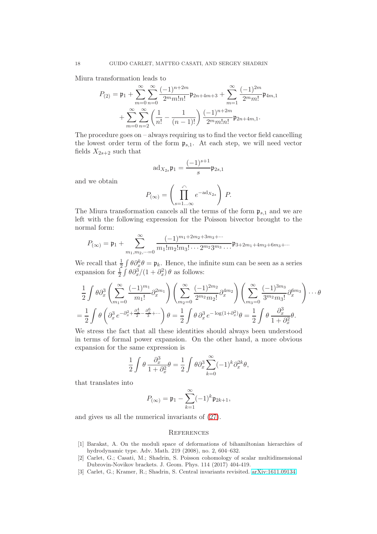<span id="page-18-15"></span><span id="page-18-14"></span><span id="page-18-13"></span>Miura transformation leads to

$$
P_{(2)} = \mathfrak{p}_1 + \sum_{m=0}^{\infty} \sum_{n=0}^{\infty} \frac{(-1)^{n+2m}}{2^m m! n!} \mathfrak{p}_{2n+4m+3} + \sum_{m=1}^{\infty} \frac{(-1)^{2m}}{2^m m!} \mathfrak{p}_{4m,1} + \sum_{m=0}^{\infty} \sum_{n=2}^{\infty} \left( \frac{1}{n!} - \frac{1}{(n-1)!} \right) \frac{(-1)^{n+2m}}{2^m m! n!} \mathfrak{p}_{2n+4m,1}.
$$

<span id="page-18-9"></span><span id="page-18-7"></span>The procedure goes on – always requiring us to find the vector field cancelling the lowest order term of the form  $\mathfrak{p}_{s,1}$ . At each step, we will need vector fields  $X_{2s+2}$  such that

$$
ad_{X_{2s}}\mathfrak{p}_1 = \frac{(-1)^{s+1}}{s}\mathfrak{p}_{2s,1}
$$

<span id="page-18-11"></span><span id="page-18-0"></span>and we obtain

$$
P_{(\infty)} = \left(\prod_{s=1...\infty}^{\curvearrowleft} e^{-\mathrm{ad}_{X_{2s}}}\right) P.
$$

<span id="page-18-1"></span>The Miura transformation cancels all the terms of the form  $\mathfrak{p}_{s,1}$  and we are left with the following expression for the Poisson bivector brought to the normal form:

<span id="page-18-6"></span>
$$
P_{(\infty)} = \mathfrak{p}_1 + \sum_{m_1, m_2, \dots = 0}^{\infty} \frac{(-1)^{m_1 + 2m_2 + 3m_3 + \dots}}{m_1! m_2! m_3! \dots 2^{m_2} 3^{m_3} \dots} \mathfrak{p}_{3+2m_1 + 4m_2 + 6m_3 + \dots}
$$

<span id="page-18-8"></span><span id="page-18-4"></span>We recall that  $\frac{1}{2} \int \theta \partial_x^k \theta = \mathfrak{p}_k$ . Hence, the infinite sum can be seen as a series expansion for  $\frac{1}{2} \int \theta \partial_x^3/(1 + \partial_x^2) \theta$  as follows:

<span id="page-18-12"></span><span id="page-18-10"></span><span id="page-18-5"></span>
$$
\frac{1}{2} \int \theta \partial_x^3 \left( \sum_{m_1=0}^{\infty} \frac{(-1)^{m_1}}{m_1!} \partial_x^{2m_1} \right) \left( \sum_{m_2=0}^{\infty} \frac{(-1)^{2m_2}}{2^{m_2} m_2!} \partial_x^{4m_2} \right) \left( \sum_{m_3=0}^{\infty} \frac{(-1)^{3m_3}}{3^{m_2} m_3!} \partial_x^{6m_3} \right) \cdots \theta
$$

$$
= \frac{1}{2} \int \theta \left( \partial_x^3 e^{-\partial_x^2 + \frac{\partial_x^4}{2} - \frac{\partial_x^6}{3} + \cdots} \right) \theta = \frac{1}{2} \int \theta \partial_x^3 e^{-\log(1 + \partial_x^2)} \theta = \frac{1}{2} \int \theta \frac{\partial_x^3}{1 + \partial_x^2} \theta.
$$

<span id="page-18-3"></span><span id="page-18-2"></span>We stress the fact that all these identities should always been understood in terms of formal power expansion. On the other hand, a more obvious expansion for the same expression is

$$
\frac{1}{2} \int \theta \frac{\partial_x^3}{1 + \partial_x^2} \theta = \frac{1}{2} \int \theta \partial_x^3 \sum_{k=0}^{\infty} (-1)^k \partial_x^{2k} \theta,
$$

that translates into

$$
P_{(\infty)} = \mathfrak{p}_1 - \sum_{k=1}^{\infty} (-1)^k \mathfrak{p}_{2k+1},
$$

and gives us all the numerical invariants of [\(27\)](#page-16-1).

#### **REFERENCES**

- [1] Barakat, A. On the moduli space of deformations of bihamiltonian hierarchies of hydrodynamic type. Adv. Math. 219 (2008), no. 2, 604–632.
- [2] Carlet, G.; Casati, M.; Shadrin, S. Poisson cohomology of scalar multidimensional Dubrovin-Novikov brackets. J. Geom. Phys. 114 (2017) 404-419.
- [3] Carlet, G.; Kramer, R.; Shadrin, S. Central invariants revisited. [arXiv:1611.09134.](http://arxiv.org/abs/1611.09134)